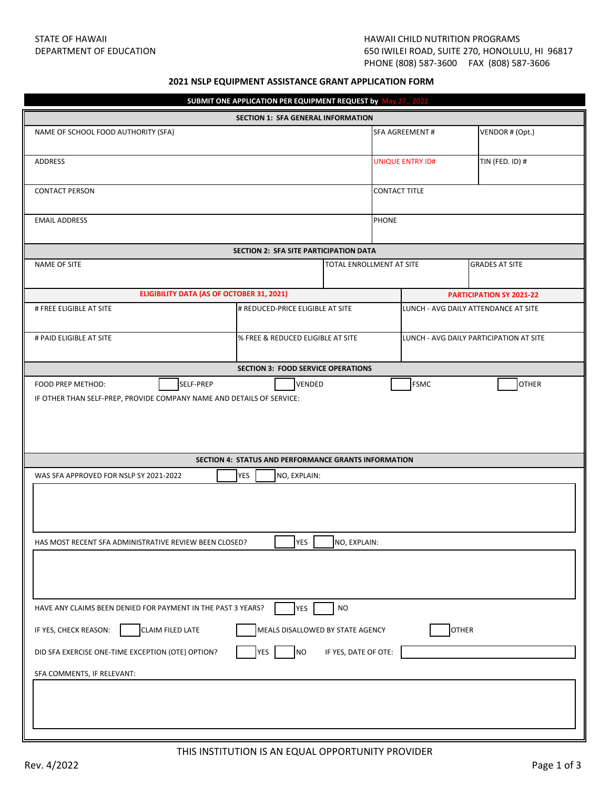## **2021 NSLP EQUIPMENT ASSISTANCE GRANT APPLICATION FORM**

| SUBMIT ONE APPLICATION PER EQUIPMENT REQUEST by May 27,, 2022                                                                                                                                                                                                                                                                         |                                                      |                          |                                      |                                         |  |  |  |  |
|---------------------------------------------------------------------------------------------------------------------------------------------------------------------------------------------------------------------------------------------------------------------------------------------------------------------------------------|------------------------------------------------------|--------------------------|--------------------------------------|-----------------------------------------|--|--|--|--|
| SECTION 1: SFA GENERAL INFORMATION                                                                                                                                                                                                                                                                                                    |                                                      |                          |                                      |                                         |  |  |  |  |
| NAME OF SCHOOL FOOD AUTHORITY (SFA)                                                                                                                                                                                                                                                                                                   |                                                      |                          | <b>SFA AGREEMENT#</b>                | VENDOR # (Opt.)                         |  |  |  |  |
| ADDRESS                                                                                                                                                                                                                                                                                                                               |                                                      |                          | <b>UNIQUE ENTRY ID#</b>              | TIN (FED. ID) #                         |  |  |  |  |
| <b>CONTACT PERSON</b>                                                                                                                                                                                                                                                                                                                 |                                                      |                          | <b>CONTACT TITLE</b>                 |                                         |  |  |  |  |
| <b>EMAIL ADDRESS</b>                                                                                                                                                                                                                                                                                                                  |                                                      |                          | <b>PHONE</b>                         |                                         |  |  |  |  |
|                                                                                                                                                                                                                                                                                                                                       | SECTION 2: SFA SITE PARTICIPATION DATA               |                          |                                      |                                         |  |  |  |  |
| <b>NAME OF SITE</b>                                                                                                                                                                                                                                                                                                                   |                                                      | TOTAL ENROLLMENT AT SITE |                                      | <b>GRADES AT SITE</b>                   |  |  |  |  |
| <b>ELIGIBILITY DATA (AS OF OCTOBER 31, 2021)</b>                                                                                                                                                                                                                                                                                      |                                                      |                          |                                      | <b>PARTICIPATION SY 2021-22</b>         |  |  |  |  |
| # FREE ELIGIBLE AT SITE                                                                                                                                                                                                                                                                                                               | # REDUCED-PRICE ELIGIBLE AT SITE                     |                          | LUNCH - AVG DAILY ATTENDANCE AT SITE |                                         |  |  |  |  |
| # PAID ELIGIBLE AT SITE                                                                                                                                                                                                                                                                                                               | % FREE & REDUCED ELIGIBLE AT SITE                    |                          |                                      | LUNCH - AVG DAILY PARTICIPATION AT SITE |  |  |  |  |
|                                                                                                                                                                                                                                                                                                                                       | <b>SECTION 3: FOOD SERVICE OPERATIONS</b>            |                          |                                      |                                         |  |  |  |  |
| <b>FSMC</b><br>SELF-PREP<br>VENDED<br><b>OTHER</b><br>FOOD PREP METHOD:<br>IF OTHER THAN SELF-PREP, PROVIDE COMPANY NAME AND DETAILS OF SERVICE:                                                                                                                                                                                      |                                                      |                          |                                      |                                         |  |  |  |  |
|                                                                                                                                                                                                                                                                                                                                       | SECTION 4: STATUS AND PERFORMANCE GRANTS INFORMATION |                          |                                      |                                         |  |  |  |  |
| <b>YES</b><br>WAS SFA APPROVED FOR NSLP SY 2021-2022<br>NO, EXPLAIN:<br>HAS MOST RECENT SFA ADMINISTRATIVE REVIEW BEEN CLOSED?<br>YES<br>NO, EXPLAIN:                                                                                                                                                                                 |                                                      |                          |                                      |                                         |  |  |  |  |
| <b>NO</b><br>HAVE ANY CLAIMS BEEN DENIED FOR PAYMENT IN THE PAST 3 YEARS?<br><b>YES</b><br>IF YES, CHECK REASON:<br><b>CLAIM FILED LATE</b><br>MEALS DISALLOWED BY STATE AGENCY<br><b>OTHER</b><br><b>YES</b><br><b>NO</b><br>IF YES, DATE OF OTE:<br>DID SFA EXERCISE ONE-TIME EXCEPTION (OTE) OPTION?<br>SFA COMMENTS, IF RELEVANT: |                                                      |                          |                                      |                                         |  |  |  |  |
|                                                                                                                                                                                                                                                                                                                                       |                                                      |                          |                                      |                                         |  |  |  |  |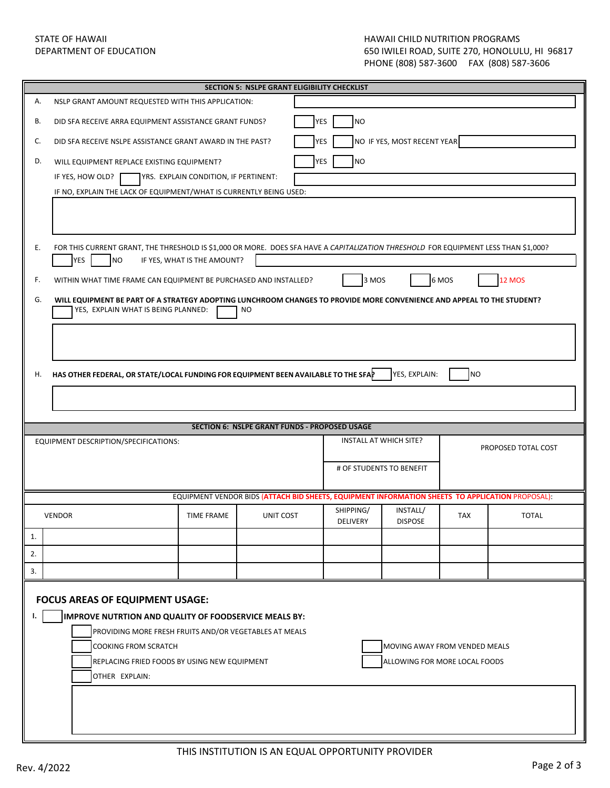## STATE OF HAWAII HAWAII CHILD NUTRITION PROGRAMS<br>DEPARTMENT OF EDUCATION NUTRITION AND SOLUTE AND ASSOCIATED AND ARREST OF THE 270, HONOLUL 650 IWILEI ROAD, SUITE 270, HONOLULU, HI 96817 PHONE (808) 587-3600 FAX (808) 587-3606

| <b>SECTION 5: NSLPE GRANT ELIGIBILITY CHECKLIST</b> |                                                                                                                                                                                                    |                                       |                                                                                                  |                              |                               |            |                     |  |  |
|-----------------------------------------------------|----------------------------------------------------------------------------------------------------------------------------------------------------------------------------------------------------|---------------------------------------|--------------------------------------------------------------------------------------------------|------------------------------|-------------------------------|------------|---------------------|--|--|
| А.                                                  | NSLP GRANT AMOUNT REQUESTED WITH THIS APPLICATION:                                                                                                                                                 |                                       |                                                                                                  |                              |                               |            |                     |  |  |
| В.                                                  | DID SFA RECEIVE ARRA EQUIPMENT ASSISTANCE GRANT FUNDS?                                                                                                                                             |                                       | <b>YES</b>                                                                                       | <b>NO</b>                    |                               |            |                     |  |  |
| C.                                                  | NO IF YES, MOST RECENT YEAR<br><b>YES</b><br>DID SFA RECEIVE NSLPE ASSISTANCE GRANT AWARD IN THE PAST?                                                                                             |                                       |                                                                                                  |                              |                               |            |                     |  |  |
| D.                                                  | <b>YES</b><br><b>NO</b><br>WILL EQUIPMENT REPLACE EXISTING EQUIPMENT?                                                                                                                              |                                       |                                                                                                  |                              |                               |            |                     |  |  |
|                                                     | IF YES, HOW OLD?                                                                                                                                                                                   | YRS. EXPLAIN CONDITION, IF PERTINENT: |                                                                                                  |                              |                               |            |                     |  |  |
|                                                     | IF NO, EXPLAIN THE LACK OF EQUIPMENT/WHAT IS CURRENTLY BEING USED:                                                                                                                                 |                                       |                                                                                                  |                              |                               |            |                     |  |  |
|                                                     |                                                                                                                                                                                                    |                                       |                                                                                                  |                              |                               |            |                     |  |  |
| Ε.                                                  | FOR THIS CURRENT GRANT, THE THRESHOLD IS \$1,000 OR MORE. DOES SFA HAVE A CAPITALIZATION THRESHOLD FOR EQUIPMENT LESS THAN \$1,000?<br><b>YES</b><br>N <sub>O</sub><br>IF YES, WHAT IS THE AMOUNT? |                                       |                                                                                                  |                              |                               |            |                     |  |  |
| F.                                                  | WITHIN WHAT TIME FRAME CAN EQUIPMENT BE PURCHASED AND INSTALLED?                                                                                                                                   |                                       |                                                                                                  | 3 MOS                        |                               | 6 MOS      | <b>12 MOS</b>       |  |  |
| G.                                                  | WILL EQUIPMENT BE PART OF A STRATEGY ADOPTING LUNCHROOM CHANGES TO PROVIDE MORE CONVENIENCE AND APPEAL TO THE STUDENT?<br>YES, EXPLAIN WHAT IS BEING PLANNED:<br><b>NO</b>                         |                                       |                                                                                                  |                              |                               |            |                     |  |  |
|                                                     |                                                                                                                                                                                                    |                                       |                                                                                                  |                              |                               |            |                     |  |  |
| Η.                                                  | HAS OTHER FEDERAL, OR STATE/LOCAL FUNDING FOR EQUIPMENT BEEN AVAILABLE TO THE SFAP<br>YES, EXPLAIN:<br><b>NO</b>                                                                                   |                                       |                                                                                                  |                              |                               |            |                     |  |  |
|                                                     |                                                                                                                                                                                                    |                                       |                                                                                                  |                              |                               |            |                     |  |  |
|                                                     |                                                                                                                                                                                                    |                                       |                                                                                                  |                              |                               |            |                     |  |  |
|                                                     |                                                                                                                                                                                                    |                                       | <b>SECTION 6: NSLPE GRANT FUNDS - PROPOSED USAGE</b>                                             |                              |                               |            |                     |  |  |
|                                                     | EQUIPMENT DESCRIPTION/SPECIFICATIONS:                                                                                                                                                              |                                       |                                                                                                  |                              | INSTALL AT WHICH SITE?        |            |                     |  |  |
|                                                     |                                                                                                                                                                                                    |                                       |                                                                                                  |                              |                               |            | PROPOSED TOTAL COST |  |  |
|                                                     |                                                                                                                                                                                                    |                                       |                                                                                                  |                              | # OF STUDENTS TO BENEFIT      |            |                     |  |  |
|                                                     |                                                                                                                                                                                                    |                                       | EQUIPMENT VENDOR BIDS (ATTACH BID SHEETS, EQUIPMENT INFORMATION SHEETS TO APPLICATION PROPOSAL): |                              |                               |            |                     |  |  |
|                                                     | <b>VENDOR</b>                                                                                                                                                                                      | <b>TIME FRAME</b>                     | UNIT COST                                                                                        | SHIPPING/<br><b>DELIVERY</b> | INSTALL/<br><b>DISPOSE</b>    | <b>TAX</b> | <b>TOTAL</b>        |  |  |
| 1.                                                  |                                                                                                                                                                                                    |                                       |                                                                                                  |                              |                               |            |                     |  |  |
| 2.                                                  |                                                                                                                                                                                                    |                                       |                                                                                                  |                              |                               |            |                     |  |  |
| 3.                                                  |                                                                                                                                                                                                    |                                       |                                                                                                  |                              |                               |            |                     |  |  |
|                                                     | <b>FOCUS AREAS OF EQUIPMENT USAGE:</b>                                                                                                                                                             |                                       |                                                                                                  |                              |                               |            |                     |  |  |
| L.                                                  | IMPROVE NUTRTION AND QUALITY OF FOODSERVICE MEALS BY:                                                                                                                                              |                                       |                                                                                                  |                              |                               |            |                     |  |  |
|                                                     | PROVIDING MORE FRESH FRUITS AND/OR VEGETABLES AT MEALS                                                                                                                                             |                                       |                                                                                                  |                              |                               |            |                     |  |  |
|                                                     | <b>COOKING FROM SCRATCH</b>                                                                                                                                                                        |                                       |                                                                                                  |                              | MOVING AWAY FROM VENDED MEALS |            |                     |  |  |
|                                                     | REPLACING FRIED FOODS BY USING NEW EQUIPMENT                                                                                                                                                       |                                       |                                                                                                  |                              | ALLOWING FOR MORE LOCAL FOODS |            |                     |  |  |
|                                                     | OTHER EXPLAIN:                                                                                                                                                                                     |                                       |                                                                                                  |                              |                               |            |                     |  |  |
|                                                     |                                                                                                                                                                                                    |                                       |                                                                                                  |                              |                               |            |                     |  |  |
|                                                     |                                                                                                                                                                                                    |                                       |                                                                                                  |                              |                               |            |                     |  |  |